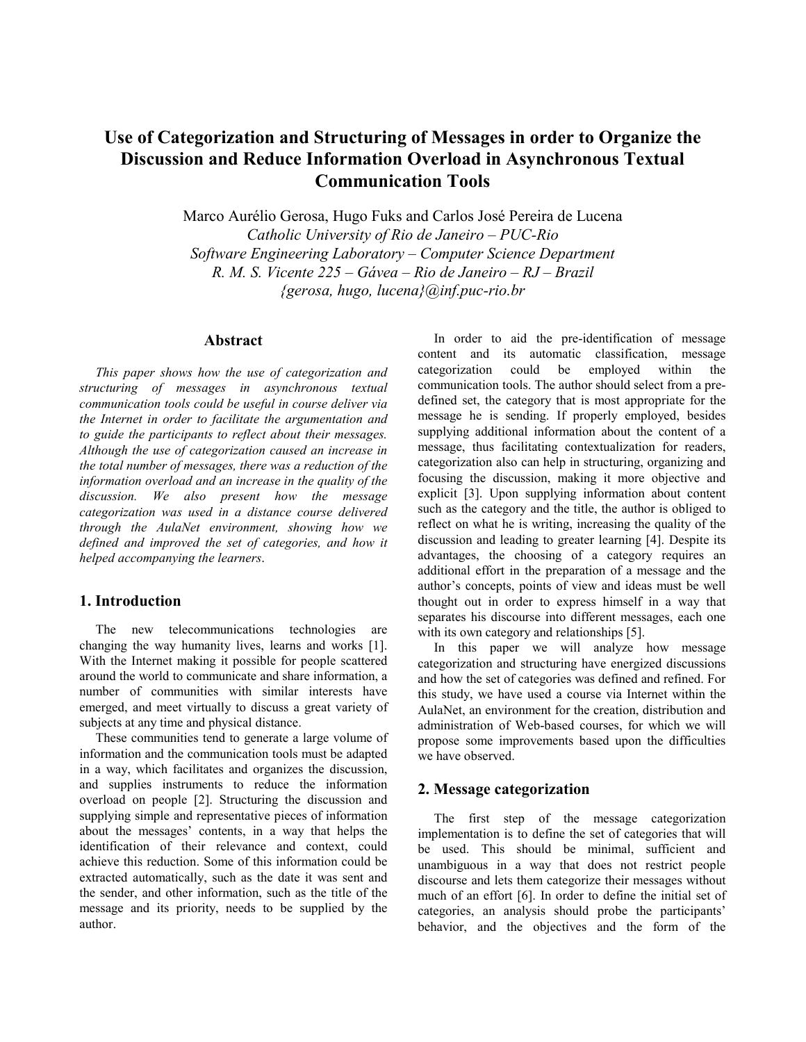# **Use of Categorization and Structuring of Messages in order to Organize the Discussion and Reduce Information Overload in Asynchronous Textual Communication Tools**

Marco Aurélio Gerosa, Hugo Fuks and Carlos José Pereira de Lucena *Catholic University of Rio de Janeiro – PUC-Rio Software Engineering Laboratory – Computer Science Department R. M. S. Vicente 225 – Gávea – Rio de Janeiro – RJ – Brazil {gerosa, hugo, lucena}@inf.puc-rio.br*

## **Abstract**

*This paper shows how the use of categorization and structuring of messages in asynchronous textual communication tools could be useful in course deliver via the Internet in order to facilitate the argumentation and to guide the participants to reflect about their messages. Although the use of categorization caused an increase in the total number of messages, there was a reduction of the information overload and an increase in the quality of the discussion. We also present how the message categorization was used in a distance course delivered through the AulaNet environment, showing how we defined and improved the set of categories, and how it helped accompanying the learners*.

# **1. Introduction**

The new telecommunications technologies are changing the way humanity lives, learns and works [1]. With the Internet making it possible for people scattered around the world to communicate and share information, a number of communities with similar interests have emerged, and meet virtually to discuss a great variety of subjects at any time and physical distance.

These communities tend to generate a large volume of information and the communication tools must be adapted in a way, which facilitates and organizes the discussion, and supplies instruments to reduce the information overload on people [2]. Structuring the discussion and supplying simple and representative pieces of information about the messages' contents, in a way that helps the identification of their relevance and context, could achieve this reduction. Some of this information could be extracted automatically, such as the date it was sent and the sender, and other information, such as the title of the message and its priority, needs to be supplied by the author.

In order to aid the pre-identification of message content and its automatic classification, message categorization could be employed within the communication tools. The author should select from a predefined set, the category that is most appropriate for the message he is sending. If properly employed, besides supplying additional information about the content of a message, thus facilitating contextualization for readers, categorization also can help in structuring, organizing and focusing the discussion, making it more objective and explicit [3]. Upon supplying information about content such as the category and the title, the author is obliged to reflect on what he is writing, increasing the quality of the discussion and leading to greater learning [4]. Despite its advantages, the choosing of a category requires an additional effort in the preparation of a message and the author's concepts, points of view and ideas must be well thought out in order to express himself in a way that separates his discourse into different messages, each one with its own category and relationships [5].

In this paper we will analyze how message categorization and structuring have energized discussions and how the set of categories was defined and refined. For this study, we have used a course via Internet within the AulaNet, an environment for the creation, distribution and administration of Web-based courses, for which we will propose some improvements based upon the difficulties we have observed.

## **2. Message categorization**

The first step of the message categorization implementation is to define the set of categories that will be used. This should be minimal, sufficient and unambiguous in a way that does not restrict people discourse and lets them categorize their messages without much of an effort [6]. In order to define the initial set of categories, an analysis should probe the participants' behavior, and the objectives and the form of the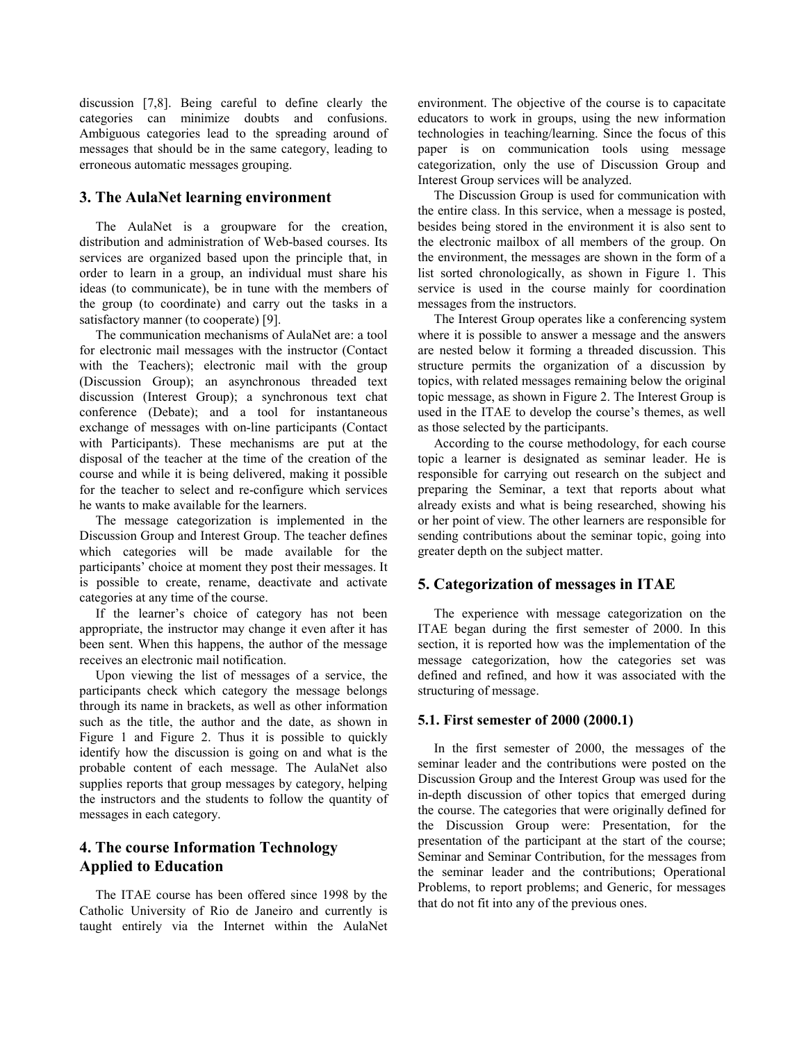discussion [7,8]. Being careful to define clearly the categories can minimize doubts and confusions. Ambiguous categories lead to the spreading around of messages that should be in the same category, leading to erroneous automatic messages grouping.

## **3. The AulaNet learning environment**

The AulaNet is a groupware for the creation, distribution and administration of Web-based courses. Its services are organized based upon the principle that, in order to learn in a group, an individual must share his ideas (to communicate), be in tune with the members of the group (to coordinate) and carry out the tasks in a satisfactory manner (to cooperate) [9].

The communication mechanisms of AulaNet are: a tool for electronic mail messages with the instructor (Contact with the Teachers); electronic mail with the group (Discussion Group); an asynchronous threaded text discussion (Interest Group); a synchronous text chat conference (Debate); and a tool for instantaneous exchange of messages with on-line participants (Contact with Participants). These mechanisms are put at the disposal of the teacher at the time of the creation of the course and while it is being delivered, making it possible for the teacher to select and re-configure which services he wants to make available for the learners.

The message categorization is implemented in the Discussion Group and Interest Group. The teacher defines which categories will be made available for the participants' choice at moment they post their messages. It is possible to create, rename, deactivate and activate categories at any time of the course.

If the learner's choice of category has not been appropriate, the instructor may change it even after it has been sent. When this happens, the author of the message receives an electronic mail notification.

Upon viewing the list of messages of a service, the participants check which category the message belongs through its name in brackets, as well as other information such as the title, the author and the date, as shown in Figure 1 and Figure 2. Thus it is possible to quickly identify how the discussion is going on and what is the probable content of each message. The AulaNet also supplies reports that group messages by category, helping the instructors and the students to follow the quantity of messages in each category.

# **4. The course Information Technology Applied to Education**

The ITAE course has been offered since 1998 by the Catholic University of Rio de Janeiro and currently is taught entirely via the Internet within the AulaNet environment. The objective of the course is to capacitate educators to work in groups, using the new information technologies in teaching/learning. Since the focus of this paper is on communication tools using message categorization, only the use of Discussion Group and Interest Group services will be analyzed.

The Discussion Group is used for communication with the entire class. In this service, when a message is posted, besides being stored in the environment it is also sent to the electronic mailbox of all members of the group. On the environment, the messages are shown in the form of a list sorted chronologically, as shown in Figure 1. This service is used in the course mainly for coordination messages from the instructors.

The Interest Group operates like a conferencing system where it is possible to answer a message and the answers are nested below it forming a threaded discussion. This structure permits the organization of a discussion by topics, with related messages remaining below the original topic message, as shown in Figure 2. The Interest Group is used in the ITAE to develop the course's themes, as well as those selected by the participants.

According to the course methodology, for each course topic a learner is designated as seminar leader. He is responsible for carrying out research on the subject and preparing the Seminar, a text that reports about what already exists and what is being researched, showing his or her point of view. The other learners are responsible for sending contributions about the seminar topic, going into greater depth on the subject matter.

## **5. Categorization of messages in ITAE**

The experience with message categorization on the ITAE began during the first semester of 2000. In this section, it is reported how was the implementation of the message categorization, how the categories set was defined and refined, and how it was associated with the structuring of message.

#### **5.1. First semester of 2000 (2000.1)**

In the first semester of 2000, the messages of the seminar leader and the contributions were posted on the Discussion Group and the Interest Group was used for the in-depth discussion of other topics that emerged during the course. The categories that were originally defined for the Discussion Group were: Presentation, for the presentation of the participant at the start of the course; Seminar and Seminar Contribution, for the messages from the seminar leader and the contributions; Operational Problems, to report problems; and Generic, for messages that do not fit into any of the previous ones.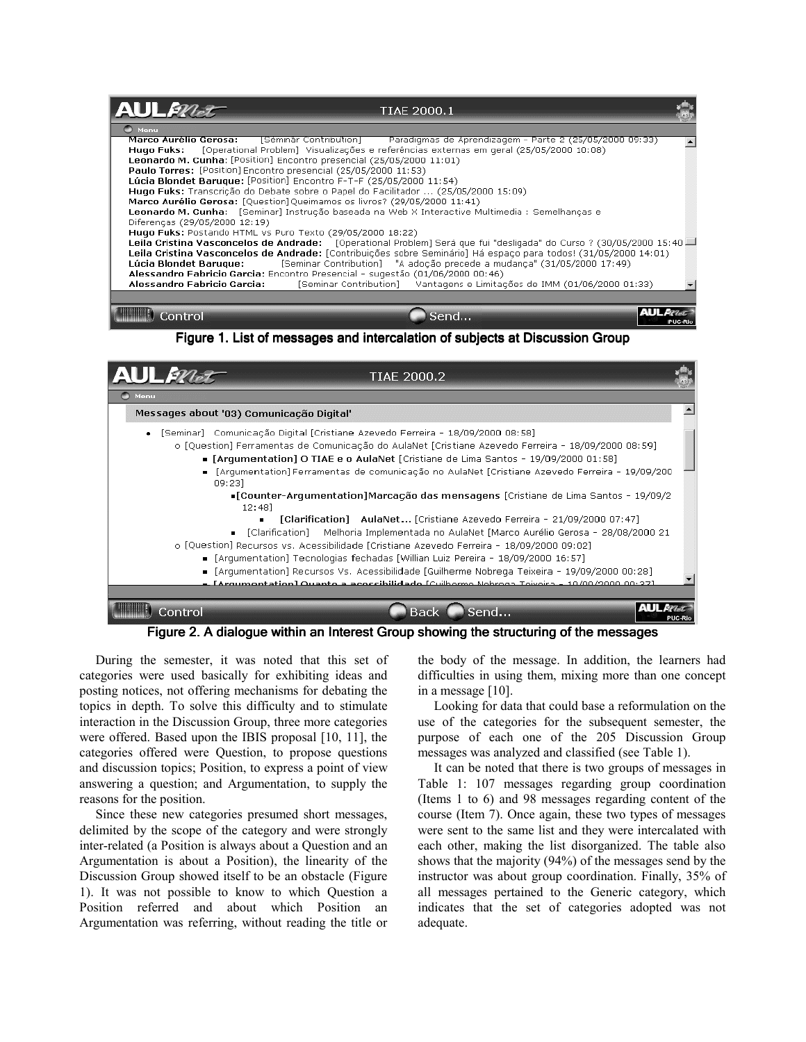

o [Question] Recursos vs. Acessibilidade [Cristiane Azevedo Ferreira - 18/09/2000 09:02] ■ [Argumentation] Tecnologias fechadas [Willian Luiz Pereira - 18/09/2000 16:57] - [Arqumentation] Recursos Vs. Acessibilidade [Guilherme Nobrega Teixeira - 19/09/2000 00:28] <u> Largumontation LOuanto a acoccibilidado LCuilbormo Nobroco</u> **Control AUL/77**  $\blacksquare$  Back  $\blacksquare$  Send...

Figure 2. A dialogue within an Interest Group showing the structuring of the messages

During the semester, it was noted that this set of categories were used basically for exhibiting ideas and posting notices, not offering mechanisms for debating the topics in depth. To solve this difficulty and to stimulate interaction in the Discussion Group, three more categories were offered. Based upon the IBIS proposal [10, 11], the categories offered were Question, to propose questions and discussion topics; Position, to express a point of view answering a question; and Argumentation, to supply the reasons for the position.

Since these new categories presumed short messages, delimited by the scope of the category and were strongly inter-related (a Position is always about a Question and an Argumentation is about a Position), the linearity of the Discussion Group showed itself to be an obstacle (Figure 1). It was not possible to know to which Question a Position referred and about which Position an Argumentation was referring, without reading the title or the body of the message. In addition, the learners had difficulties in using them, mixing more than one concept in a message [10].

Looking for data that could base a reformulation on the use of the categories for the subsequent semester, the purpose of each one of the 205 Discussion Group messages was analyzed and classified (see Table 1).

It can be noted that there is two groups of messages in Table 1: 107 messages regarding group coordination (Items 1 to 6) and 98 messages regarding content of the course (Item 7). Once again, these two types of messages were sent to the same list and they were intercalated with each other, making the list disorganized. The table also shows that the majority (94%) of the messages send by the instructor was about group coordination. Finally, 35% of all messages pertained to the Generic category, which indicates that the set of categories adopted was not adequate.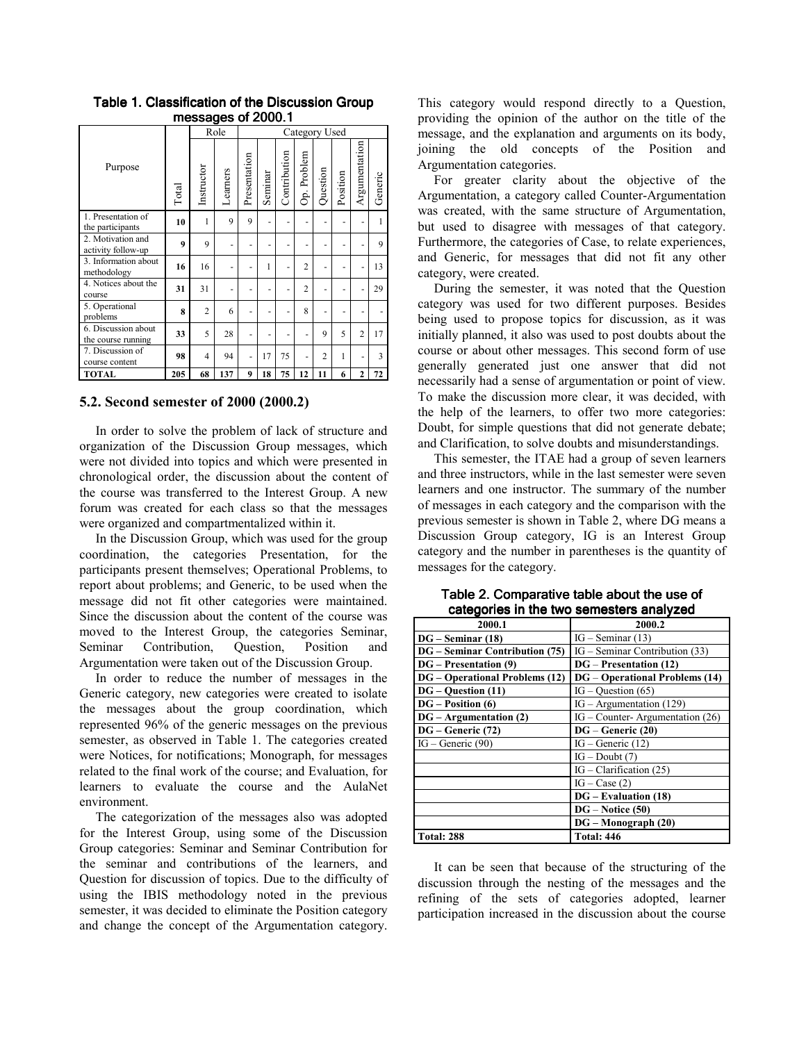| iiivooggoo oi Evoo                        |       |                |          |               |         |              |                |                |          |                |         |
|-------------------------------------------|-------|----------------|----------|---------------|---------|--------------|----------------|----------------|----------|----------------|---------|
|                                           |       |                | Role     | Category Used |         |              |                |                |          |                |         |
| Purpose                                   | Total | Instructor     | Learners | Presentation  | Seminar | Contribution | Op. Problem    | Question       | Position | Argumentation  | Generic |
| 1. Presentation of<br>the participants    | 10    | $\mathbf{1}$   | 9        | 9             |         |              |                |                |          |                | 1       |
| 2. Motivation and<br>activity follow-up   | 9     | 9              |          |               |         |              |                |                |          |                | 9       |
| 3. Information about<br>methodology       | 16    | 16             |          |               | 1       | ٠            | $\overline{c}$ | ٠              |          | ٠              | 13      |
| 4. Notices about the<br>course            | 31    | 31             |          |               |         |              | $\overline{c}$ |                |          | ٠              | 29      |
| 5. Operational<br>problems                | 8     | $\overline{2}$ | 6        |               | -       | ٠            | 8              | -              |          | ٠              |         |
| 6. Discussion about<br>the course running | 33    | 5              | 28       |               |         |              |                | 9              | 5        | $\overline{c}$ | 17      |
| 7. Discussion of<br>course content        | 98    | 4              | 94       | ٠             | 17      | 75           |                | $\overline{c}$ | 1        | ٠              | 3       |
| <b>TOTAL</b>                              | 205   | 68             | 137      | 9             | 18      | 75           | 12             | 11             | 6        | $\overline{2}$ | 72      |

Table 1. Classification of the Discussion Group messages of 2000.1

#### **5.2. Second semester of 2000 (2000.2)**

In order to solve the problem of lack of structure and organization of the Discussion Group messages, which were not divided into topics and which were presented in chronological order, the discussion about the content of the course was transferred to the Interest Group. A new forum was created for each class so that the messages were organized and compartmentalized within it.

In the Discussion Group, which was used for the group coordination, the categories Presentation, for the participants present themselves; Operational Problems, to report about problems; and Generic, to be used when the message did not fit other categories were maintained. Since the discussion about the content of the course was moved to the Interest Group, the categories Seminar, Seminar Contribution, Question, Position and Argumentation were taken out of the Discussion Group.

In order to reduce the number of messages in the Generic category, new categories were created to isolate the messages about the group coordination, which represented 96% of the generic messages on the previous semester, as observed in Table 1. The categories created were Notices, for notifications; Monograph, for messages related to the final work of the course; and Evaluation, for learners to evaluate the course and the AulaNet environment.

The categorization of the messages also was adopted for the Interest Group, using some of the Discussion Group categories: Seminar and Seminar Contribution for the seminar and contributions of the learners, and Question for discussion of topics. Due to the difficulty of using the IBIS methodology noted in the previous semester, it was decided to eliminate the Position category and change the concept of the Argumentation category.

This category would respond directly to a Question, providing the opinion of the author on the title of the message, and the explanation and arguments on its body, joining the old concepts of the Position and Argumentation categories.

For greater clarity about the objective of the Argumentation, a category called Counter-Argumentation was created, with the same structure of Argumentation, but used to disagree with messages of that category. Furthermore, the categories of Case, to relate experiences, and Generic, for messages that did not fit any other category, were created.

During the semester, it was noted that the Question category was used for two different purposes. Besides being used to propose topics for discussion, as it was initially planned, it also was used to post doubts about the course or about other messages. This second form of use generally generated just one answer that did not necessarily had a sense of argumentation or point of view. To make the discussion more clear, it was decided, with the help of the learners, to offer two more categories: Doubt, for simple questions that did not generate debate; and Clarification, to solve doubts and misunderstandings.

This semester, the ITAE had a group of seven learners and three instructors, while in the last semester were seven learners and one instructor. The summary of the number of messages in each category and the comparison with the previous semester is shown in Table 2, where DG means a Discussion Group category, IG is an Interest Group category and the number in parentheses is the quantity of messages for the category.

| 2000.1                                | 2000.2                                |  |  |  |  |  |
|---------------------------------------|---------------------------------------|--|--|--|--|--|
| $DG - Seminar (18)$                   | $IG - Seminar (13)$                   |  |  |  |  |  |
| <b>DG</b> – Seminar Contribution (75) | IG – Seminar Contribution (33)        |  |  |  |  |  |
| DG – Presentation (9)                 | <b>DG</b> – Presentation (12)         |  |  |  |  |  |
| <b>DG</b> - Operational Problems (12) | <b>DG</b> – Operational Problems (14) |  |  |  |  |  |
| $DG - Question (11)$                  | $IG - Question (65)$                  |  |  |  |  |  |
| $DG - Position(6)$                    | $IG - Argumentation (129)$            |  |  |  |  |  |
| $DG - Argumentation(2)$               | $IG$ – Counter-Argumentation (26)     |  |  |  |  |  |
| $DG - Generic (72)$                   | $DG - Generic (20)$                   |  |  |  |  |  |
| IG – Generic $(90)$                   | IG – Generic $(12)$                   |  |  |  |  |  |
|                                       | $IG - Doubt(7)$                       |  |  |  |  |  |
|                                       | $IG$ – Clarification (25)             |  |  |  |  |  |
|                                       | $IG - Case (2)$                       |  |  |  |  |  |
|                                       | <b>DG</b> – Evaluation (18)           |  |  |  |  |  |
|                                       | $DG - Notice (50)$                    |  |  |  |  |  |
|                                       | DG - Monograph (20)                   |  |  |  |  |  |
| Total: 288                            | <b>Total: 446</b>                     |  |  |  |  |  |
|                                       |                                       |  |  |  |  |  |

Table 2. Comparative table about the use of  $c$ ategories in the two semesters analyzed

It can be seen that because of the structuring of the discussion through the nesting of the messages and the refining of the sets of categories adopted, learner participation increased in the discussion about the course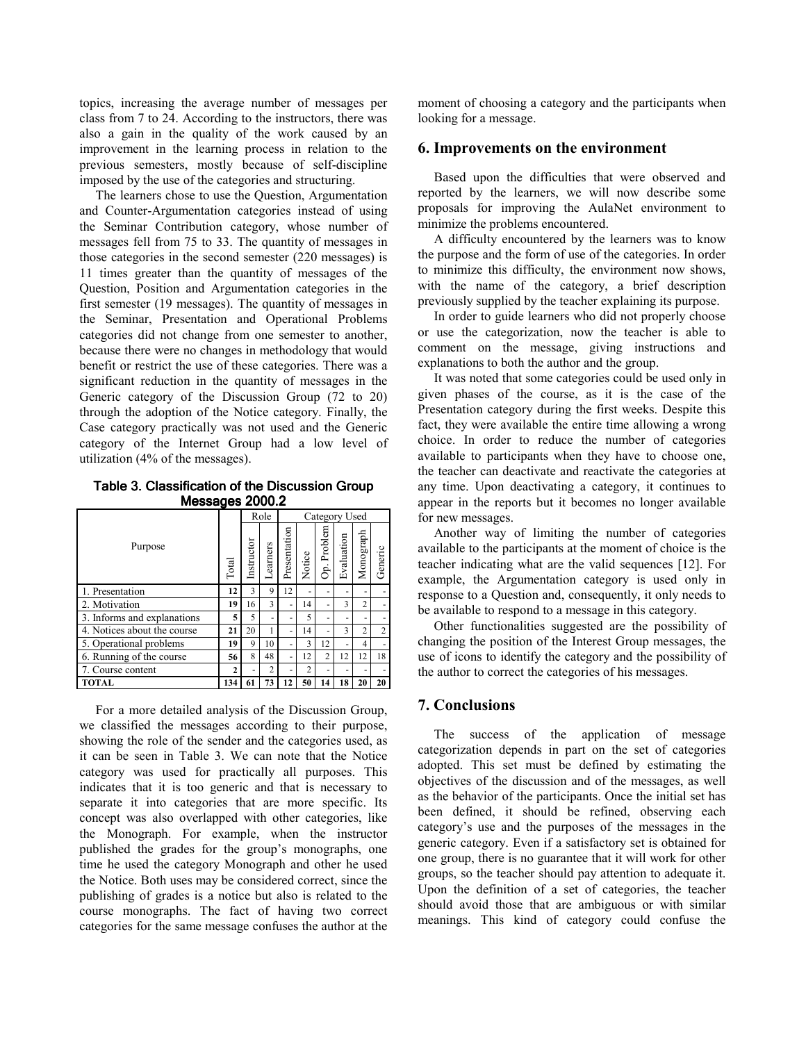topics, increasing the average number of messages per class from 7 to 24. According to the instructors, there was also a gain in the quality of the work caused by an improvement in the learning process in relation to the previous semesters, mostly because of self-discipline imposed by the use of the categories and structuring.

The learners chose to use the Question, Argumentation and Counter-Argumentation categories instead of using the Seminar Contribution category, whose number of messages fell from 75 to 33. The quantity of messages in those categories in the second semester (220 messages) is 11 times greater than the quantity of messages of the Question, Position and Argumentation categories in the first semester (19 messages). The quantity of messages in the Seminar, Presentation and Operational Problems categories did not change from one semester to another, because there were no changes in methodology that would benefit or restrict the use of these categories. There was a significant reduction in the quantity of messages in the Generic category of the Discussion Group (72 to 20) through the adoption of the Notice category. Finally, the Case category practically was not used and the Generic category of the Internet Group had a low level of utilization (4% of the messages).

Table 3. Classification of the Discussion Group Messages 2000.2

| Purpose                     |              |            | Role           | Category Used |                |                |            |                |                |  |
|-----------------------------|--------------|------------|----------------|---------------|----------------|----------------|------------|----------------|----------------|--|
|                             |              | Instructor | Learners       | Presentation  | Notice         | Problem<br>ЭĖ. | Evaluation | Monograph      | Generic        |  |
| 1. Presentation             |              | 3          | 9              | 12            | -              | -              | ۰          |                |                |  |
| 2. Motivation               |              | 16         | 3              |               | 14             | ٠              | 3          | $\overline{c}$ |                |  |
| 3. Informs and explanations |              | 5          |                |               | 5              | ٠              | ۰          |                |                |  |
| 4. Notices about the course |              | 20         | 1              |               | 14             | ٠              | 3          | $\overline{c}$ | $\overline{c}$ |  |
| 5. Operational problems     | 19           | 9          | 10             |               | 3              | 12             | ۰          | 4              |                |  |
| 6. Running of the course    | 56           | 8          | 48             |               | 12             | $\overline{c}$ | 12         | 12             | 18             |  |
| 7. Course content           | $\mathbf{2}$ |            | $\overline{c}$ |               | $\overline{c}$ | -              | ۰          |                |                |  |
| <b>TOTAL</b>                |              | 61         | 73             | 12            | 50             | 14             | 18         | 20             | 20             |  |

For a more detailed analysis of the Discussion Group, we classified the messages according to their purpose, showing the role of the sender and the categories used, as it can be seen in Table 3. We can note that the Notice category was used for practically all purposes. This indicates that it is too generic and that is necessary to separate it into categories that are more specific. Its concept was also overlapped with other categories, like the Monograph. For example, when the instructor published the grades for the group's monographs, one time he used the category Monograph and other he used the Notice. Both uses may be considered correct, since the publishing of grades is a notice but also is related to the course monographs. The fact of having two correct categories for the same message confuses the author at the

moment of choosing a category and the participants when looking for a message.

## **6. Improvements on the environment**

Based upon the difficulties that were observed and reported by the learners, we will now describe some proposals for improving the AulaNet environment to minimize the problems encountered.

A difficulty encountered by the learners was to know the purpose and the form of use of the categories. In order to minimize this difficulty, the environment now shows, with the name of the category, a brief description previously supplied by the teacher explaining its purpose.

In order to guide learners who did not properly choose or use the categorization, now the teacher is able to comment on the message, giving instructions and explanations to both the author and the group.

It was noted that some categories could be used only in given phases of the course, as it is the case of the Presentation category during the first weeks. Despite this fact, they were available the entire time allowing a wrong choice. In order to reduce the number of categories available to participants when they have to choose one, the teacher can deactivate and reactivate the categories at any time. Upon deactivating a category, it continues to appear in the reports but it becomes no longer available for new messages.

Another way of limiting the number of categories available to the participants at the moment of choice is the teacher indicating what are the valid sequences [12]. For example, the Argumentation category is used only in response to a Question and, consequently, it only needs to be available to respond to a message in this category.

Other functionalities suggested are the possibility of changing the position of the Interest Group messages, the use of icons to identify the category and the possibility of the author to correct the categories of his messages.

#### **7. Conclusions**

The success of the application of message categorization depends in part on the set of categories adopted. This set must be defined by estimating the objectives of the discussion and of the messages, as well as the behavior of the participants. Once the initial set has been defined, it should be refined, observing each category's use and the purposes of the messages in the generic category. Even if a satisfactory set is obtained for one group, there is no guarantee that it will work for other groups, so the teacher should pay attention to adequate it. Upon the definition of a set of categories, the teacher should avoid those that are ambiguous or with similar meanings. This kind of category could confuse the